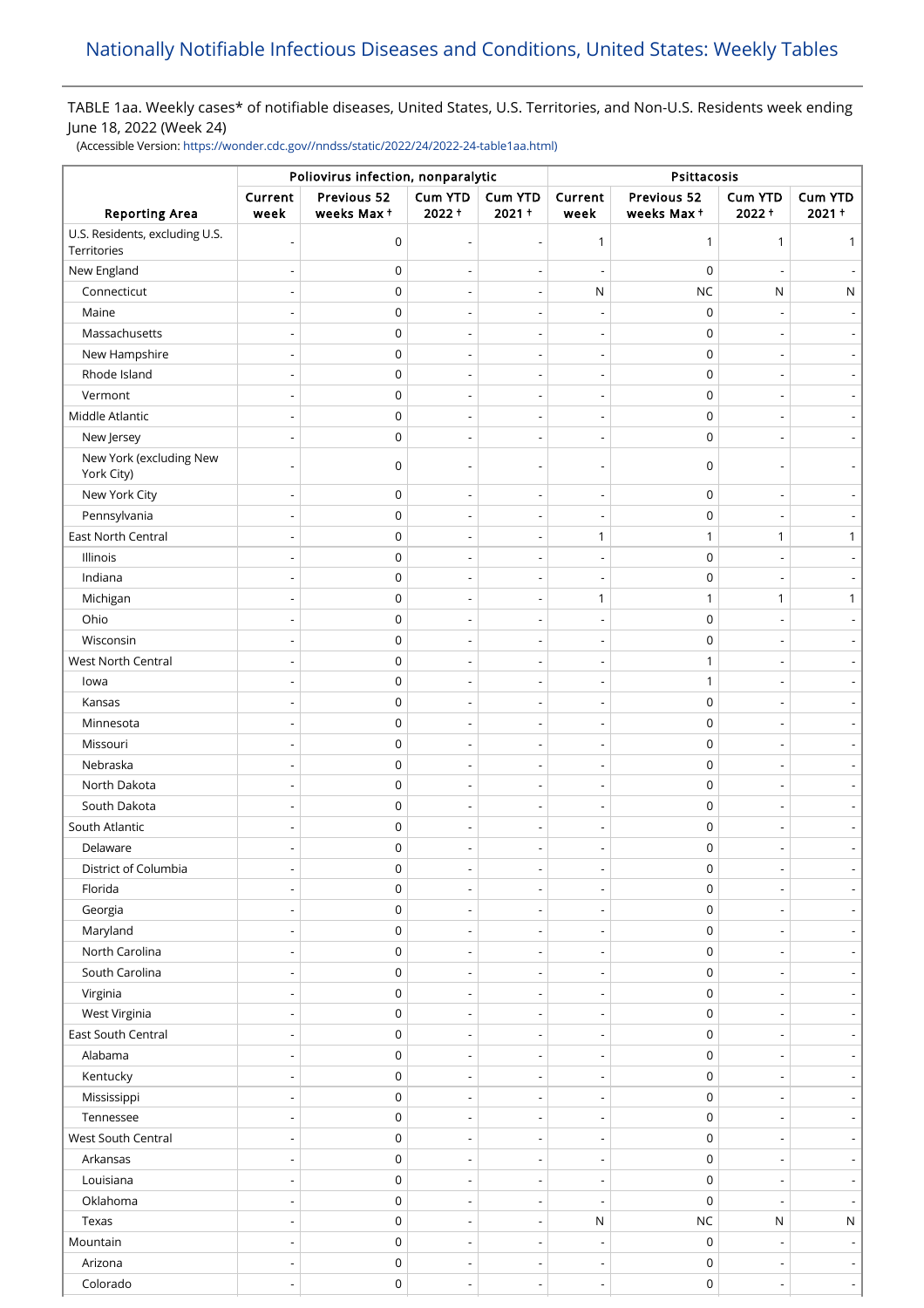## TABLE 1aa. Weekly cases\* of notifiable diseases, United States, U.S. Territories, and Non-U.S. Residents week ending June 18, 2022 (Week 24)

(Accessible Version: [https://wonder.cdc.gov//nndss/static/2022/24/2022-24-table1aa.html\)](https://wonder.cdc.gov//nndss/static/2022/24/2022-24-table1aa.html)

|                                               | Poliovirus infection, nonparalytic |                           |                          |                          | Psittacosis              |                           |                     |                          |
|-----------------------------------------------|------------------------------------|---------------------------|--------------------------|--------------------------|--------------------------|---------------------------|---------------------|--------------------------|
| <b>Reporting Area</b>                         | Current<br>week                    | Previous 52<br>weeks Max+ | Cum YTD<br>$2022 +$      | Cum YTD<br>$2021 +$      | Current<br>week          | Previous 52<br>weeks Max+ | Cum YTD<br>$2022 +$ | Cum YTD<br>$2021 +$      |
| U.S. Residents, excluding U.S.<br>Territories |                                    | 0                         |                          | $\overline{\phantom{a}}$ | 1                        | $\mathbf{1}$              | $\mathbf{1}$        | 1                        |
| New England                                   |                                    | 0                         |                          | $\overline{\phantom{a}}$ | $\overline{\phantom{a}}$ | $\mathbf 0$               |                     |                          |
| Connecticut                                   |                                    | $\mathbf 0$               |                          | $\overline{\phantom{a}}$ | ${\sf N}$                | $NC$                      | N                   | ${\sf N}$                |
| Maine                                         |                                    | $\mathsf 0$               |                          | $\overline{\phantom{a}}$ | ÷,                       | $\mathbf 0$               |                     |                          |
| Massachusetts                                 |                                    | $\mathsf 0$               | $\overline{\phantom{a}}$ | $\overline{\phantom{a}}$ | $\overline{\phantom{a}}$ | $\mathbf 0$               |                     |                          |
| New Hampshire                                 |                                    | $\mathsf 0$               |                          | $\overline{\phantom{a}}$ |                          | $\mathbf 0$               |                     |                          |
| Rhode Island                                  |                                    | $\mathsf 0$               |                          | $\overline{\phantom{a}}$ | $\overline{a}$           | $\mathbf 0$               |                     |                          |
| Vermont                                       |                                    | $\mathsf 0$               |                          | $\overline{\phantom{a}}$ | ÷                        | $\mathbf 0$               |                     |                          |
| Middle Atlantic                               |                                    | $\mathsf 0$               |                          | $\overline{\phantom{a}}$ | $\overline{\phantom{a}}$ | $\mathbf 0$               |                     |                          |
| New Jersey                                    |                                    | 0                         |                          |                          |                          | 0                         |                     |                          |
| New York (excluding New<br>York City)         |                                    | 0                         |                          |                          |                          | $\mathbf 0$               |                     |                          |
| New York City                                 | ÷,                                 | 0                         |                          | $\overline{\phantom{a}}$ | $\overline{\phantom{0}}$ | $\mathbf 0$               |                     |                          |
| Pennsylvania                                  | $\overline{a}$                     | 0                         |                          | $\overline{\phantom{a}}$ | $\overline{a}$           | $\mathbf 0$               |                     |                          |
| East North Central                            | $\overline{\phantom{a}}$           | 0                         | $\overline{\phantom{a}}$ | $\overline{\phantom{a}}$ | $\mathbf{1}$             | $\mathbf{1}$              | $\mathbf{1}$        | 1                        |
| Illinois                                      |                                    | $\mathsf 0$               | $\overline{\phantom{a}}$ | $\overline{\phantom{a}}$ | $\overline{\phantom{a}}$ | $\mathbf 0$               |                     |                          |
| Indiana                                       |                                    | $\mathsf 0$               |                          |                          |                          | $\mathbf 0$               |                     |                          |
| Michigan                                      |                                    | $\mathsf 0$               |                          | $\overline{\phantom{a}}$ | $\mathbf{1}$             | $\mathbf{1}$              | $\mathbf{1}$        | $\mathbf{1}$             |
| Ohio                                          |                                    | $\mathsf 0$               |                          |                          | ÷,                       | $\mathbf 0$               |                     |                          |
| Wisconsin                                     |                                    | 0                         | $\overline{\phantom{a}}$ | $\overline{\phantom{a}}$ | $\overline{\phantom{a}}$ | $\mathbf 0$               |                     |                          |
| <b>West North Central</b>                     |                                    | 0                         |                          |                          |                          | $\mathbf{1}$              |                     |                          |
| lowa                                          |                                    | $\mathsf 0$               | $\overline{\phantom{a}}$ | $\overline{\phantom{a}}$ | $\overline{\phantom{0}}$ | $\mathbf{1}$              |                     |                          |
| Kansas                                        |                                    | 0                         |                          | ÷,                       | Ĭ.                       | $\mathbf 0$               |                     |                          |
| Minnesota                                     |                                    | 0                         | $\overline{a}$           | $\overline{\phantom{a}}$ | $\overline{\phantom{0}}$ | $\mathbf 0$               |                     |                          |
| Missouri                                      |                                    | 0                         | $\overline{\phantom{a}}$ | $\overline{\phantom{a}}$ | $\overline{a}$           | $\mathbf 0$               |                     |                          |
| Nebraska                                      |                                    | 0                         |                          | $\overline{\phantom{a}}$ | $\overline{\phantom{a}}$ | $\mathbf 0$               |                     |                          |
| North Dakota                                  |                                    | 0                         |                          | $\overline{\phantom{a}}$ | $\overline{a}$           | $\mathbf 0$               |                     |                          |
| South Dakota                                  |                                    | $\mathsf 0$               |                          | $\overline{\phantom{a}}$ | $\overline{\phantom{a}}$ | $\mathbf 0$               |                     |                          |
| South Atlantic                                |                                    | 0                         |                          | $\overline{\phantom{a}}$ | $\overline{a}$           | $\mathbf 0$               |                     |                          |
| Delaware                                      |                                    | $\mathsf 0$               |                          |                          |                          | $\mathbf 0$               |                     |                          |
| District of Columbia                          | $\overline{\phantom{a}}$           | $\pmb{0}$                 |                          |                          | $\overline{\phantom{a}}$ | $\pmb{0}$                 |                     |                          |
| Florida                                       |                                    | 0                         |                          | $\overline{\phantom{a}}$ | $\overline{\phantom{a}}$ | $\mathsf 0$               |                     |                          |
| Georgia                                       | $\overline{a}$                     | 0                         | $\overline{a}$           | $\overline{\phantom{a}}$ | $\overline{\phantom{m}}$ | 0                         |                     | $\overline{\phantom{a}}$ |
| Maryland                                      |                                    | 0                         |                          | $\overline{\phantom{a}}$ | $\overline{a}$           | 0                         |                     | $\overline{\phantom{a}}$ |
| North Carolina                                |                                    | 0                         | $\overline{a}$           | $\overline{\phantom{a}}$ | $\overline{\phantom{m}}$ | 0                         |                     | $\overline{\phantom{a}}$ |
| South Carolina                                | $\overline{a}$                     | 0                         | $\overline{\phantom{a}}$ | $\overline{\phantom{a}}$ | $\overline{a}$           | $\boldsymbol{0}$          |                     | $\overline{\phantom{0}}$ |
| Virginia                                      | $\overline{\phantom{a}}$           | 0                         | $\overline{\phantom{a}}$ | $\overline{\phantom{a}}$ | $\overline{\phantom{m}}$ | $\mathsf 0$               |                     | $\overline{\phantom{a}}$ |
| West Virginia                                 | $\overline{a}$                     | 0                         | $\overline{\phantom{a}}$ | $\overline{\phantom{a}}$ | $\overline{\phantom{a}}$ | $\boldsymbol{0}$          |                     | $\overline{\phantom{a}}$ |
| East South Central                            |                                    | 0                         |                          | $\overline{\phantom{a}}$ | $\overline{\phantom{a}}$ | $\boldsymbol{0}$          |                     | $\overline{\phantom{a}}$ |
| Alabama                                       | $\overline{a}$                     | $\pmb{0}$                 | $\overline{\phantom{a}}$ | $\overline{\phantom{a}}$ | $\overline{a}$           | $\boldsymbol{0}$          |                     | $\overline{\phantom{a}}$ |
| Kentucky                                      | $\overline{\phantom{a}}$           | $\pmb{0}$                 | $\overline{\phantom{a}}$ | $\overline{\phantom{a}}$ | $\overline{\phantom{m}}$ | $\boldsymbol{0}$          |                     |                          |
| Mississippi                                   | $\overline{a}$                     | $\pmb{0}$                 | $\overline{\phantom{a}}$ | $\overline{\phantom{a}}$ | $\overline{\phantom{a}}$ | 0                         |                     | $\overline{\phantom{a}}$ |
| Tennessee                                     |                                    | $\pmb{0}$                 |                          |                          | ÷                        | $\mathsf 0$               |                     |                          |
| West South Central                            | $\overline{\phantom{0}}$           | $\mathsf 0$               | $\overline{\phantom{a}}$ | $\overline{\phantom{a}}$ | $\overline{\phantom{m}}$ | $\boldsymbol{0}$          |                     | $\overline{\phantom{a}}$ |
| Arkansas                                      | $\overline{a}$                     | 0                         |                          | $\overline{\phantom{a}}$ | $\overline{a}$           | 0                         |                     |                          |
| Louisiana                                     | $\overline{a}$                     | 0                         | $\overline{\phantom{a}}$ | $\overline{\phantom{a}}$ | $\overline{\phantom{m}}$ | 0                         |                     |                          |
| Oklahoma                                      | $\overline{a}$                     | 0                         | $\overline{\phantom{a}}$ | $\overline{\phantom{a}}$ | $\overline{\phantom{a}}$ | $\mathbf 0$               |                     |                          |
| Texas                                         | $\overline{a}$                     | 0                         | $\overline{\phantom{a}}$ | $\overline{\phantom{a}}$ | ${\sf N}$                | $NC$                      | N                   | N                        |
| Mountain                                      | $\overline{a}$                     | $\mathsf 0$               | $\overline{\phantom{a}}$ | $\overline{\phantom{a}}$ | $\overline{\phantom{a}}$ | $\mathbf 0$               |                     | $\overline{\phantom{a}}$ |
| Arizona                                       | ÷,                                 | $\pmb{0}$                 | $\overline{\phantom{a}}$ | $\overline{\phantom{a}}$ | $\overline{\phantom{a}}$ | $\mathsf 0$               |                     |                          |
| Colorado                                      | $\overline{\phantom{a}}$           | $\pmb{0}$                 | $\overline{\phantom{a}}$ | $\overline{\phantom{a}}$ | $\overline{\phantom{a}}$ | $\boldsymbol{0}$          | $\overline{a}$      | $\lceil$                 |